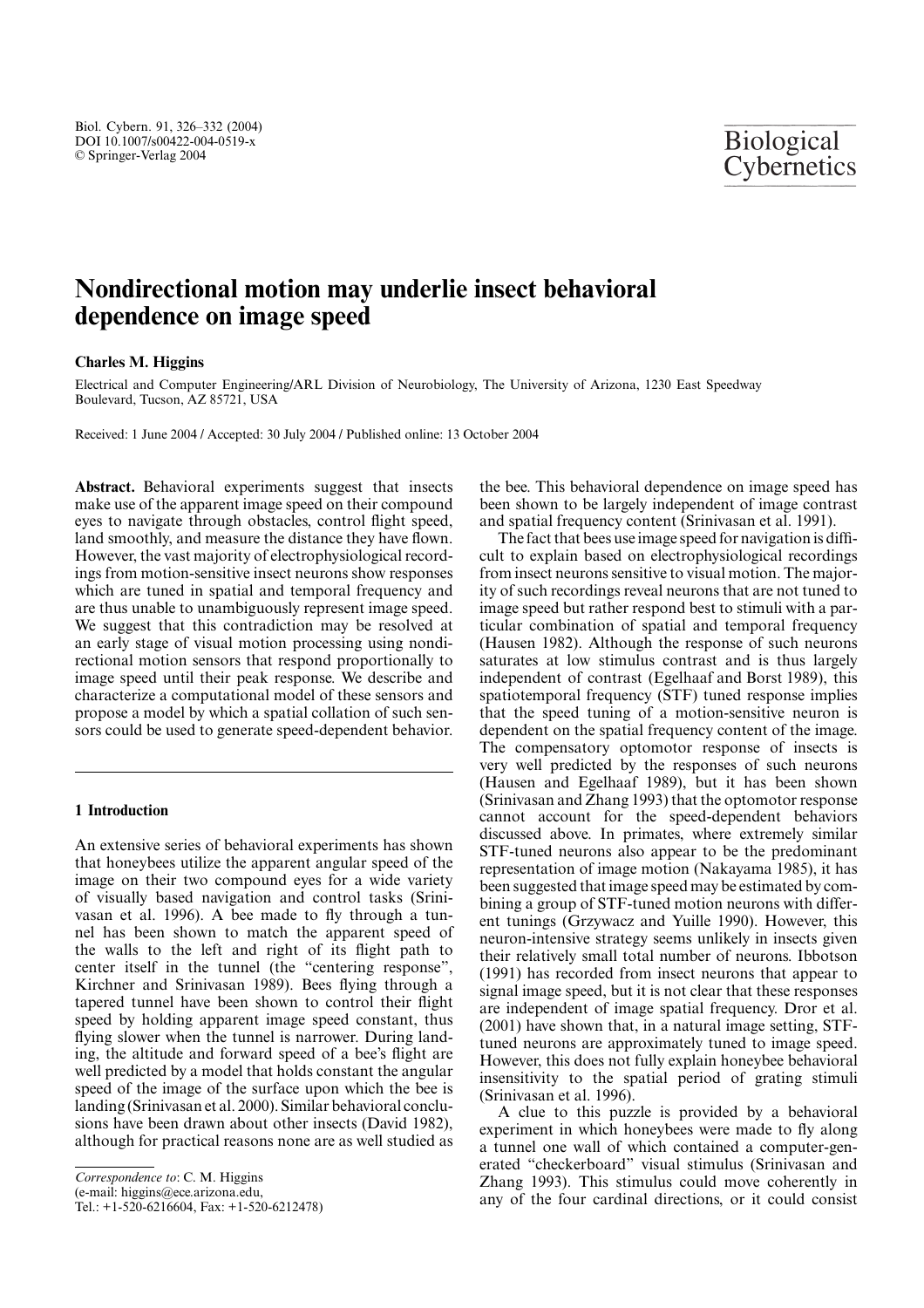# **Nondirectional motion may underlie insect behavioral dependence on image speed**

## **Charles M. Higgins**

Electrical and Computer Engineering/ARL Division of Neurobiology, The University of Arizona, 1230 East Speedway Boulevard, Tucson, AZ 85721, USA

Received: 1 June 2004 / Accepted: 30 July 2004 / Published online: 13 October 2004

**Abstract.** Behavioral experiments suggest that insects make use of the apparent image speed on their compound eyes to navigate through obstacles, control flight speed, land smoothly, and measure the distance they have flown. However, the vast majority of electrophysiological recordings from motion-sensitive insect neurons show responses which are tuned in spatial and temporal frequency and are thus unable to unambiguously represent image speed. We suggest that this contradiction may be resolved at an early stage of visual motion processing using nondirectional motion sensors that respond proportionally to image speed until their peak response. We describe and characterize a computational model of these sensors and propose a model by which a spatial collation of such sensors could be used to generate speed-dependent behavior.

# **1 Introduction**

An extensive series of behavioral experiments has shown that honeybees utilize the apparent angular speed of the image on their two compound eyes for a wide variety of visually based navigation and control tasks (Srinivasan et al. 1996). A bee made to fly through a tunnel has been shown to match the apparent speed of the walls to the left and right of its flight path to center itself in the tunnel (the "centering response", Kirchner and Srinivasan 1989). Bees flying through a tapered tunnel have been shown to control their flight speed by holding apparent image speed constant, thus flying slower when the tunnel is narrower. During landing, the altitude and forward speed of a bee's flight are well predicted by a model that holds constant the angular speed of the image of the surface upon which the bee is landing (Srinivasan et al. 2000). Similar behavioral conclusions have been drawn about other insects (David 1982), although for practical reasons none are as well studied as

*Correspondence to*: C. M. Higgins

(e-mail: higgins@ece.arizona.edu,

Tel.: +1-520-6216604, Fax: +1-520-6212478)

the bee. This behavioral dependence on image speed has been shown to be largely independent of image contrast and spatial frequency content (Srinivasan et al. 1991).

The fact that bees use image speed for navigation is difficult to explain based on electrophysiological recordings from insect neurons sensitive to visual motion. The majority of such recordings reveal neurons that are not tuned to image speed but rather respond best to stimuli with a particular combination of spatial and temporal frequency (Hausen 1982). Although the response of such neurons saturates at low stimulus contrast and is thus largely independent of contrast (Egelhaaf and Borst 1989), this spatiotemporal frequency (STF) tuned response implies that the speed tuning of a motion-sensitive neuron is dependent on the spatial frequency content of the image. The compensatory optomotor response of insects is very well predicted by the responses of such neurons (Hausen and Egelhaaf 1989), but it has been shown (Srinivasan and Zhang 1993) that the optomotor response cannot account for the speed-dependent behaviors discussed above. In primates, where extremely similar STF-tuned neurons also appear to be the predominant representation of image motion (Nakayama 1985), it has been suggested that image speed may be estimated by combining a group of STF-tuned motion neurons with different tunings (Grzywacz and Yuille 1990). However, this neuron-intensive strategy seems unlikely in insects given their relatively small total number of neurons. Ibbotson (1991) has recorded from insect neurons that appear to signal image speed, but it is not clear that these responses are independent of image spatial frequency. Dror et al. (2001) have shown that, in a natural image setting, STFtuned neurons are approximately tuned to image speed. However, this does not fully explain honeybee behavioral insensitivity to the spatial period of grating stimuli (Srinivasan et al. 1996).

A clue to this puzzle is provided by a behavioral experiment in which honeybees were made to fly along a tunnel one wall of which contained a computer-generated "checkerboard" visual stimulus (Srinivasan and Zhang 1993). This stimulus could move coherently in any of the four cardinal directions, or it could consist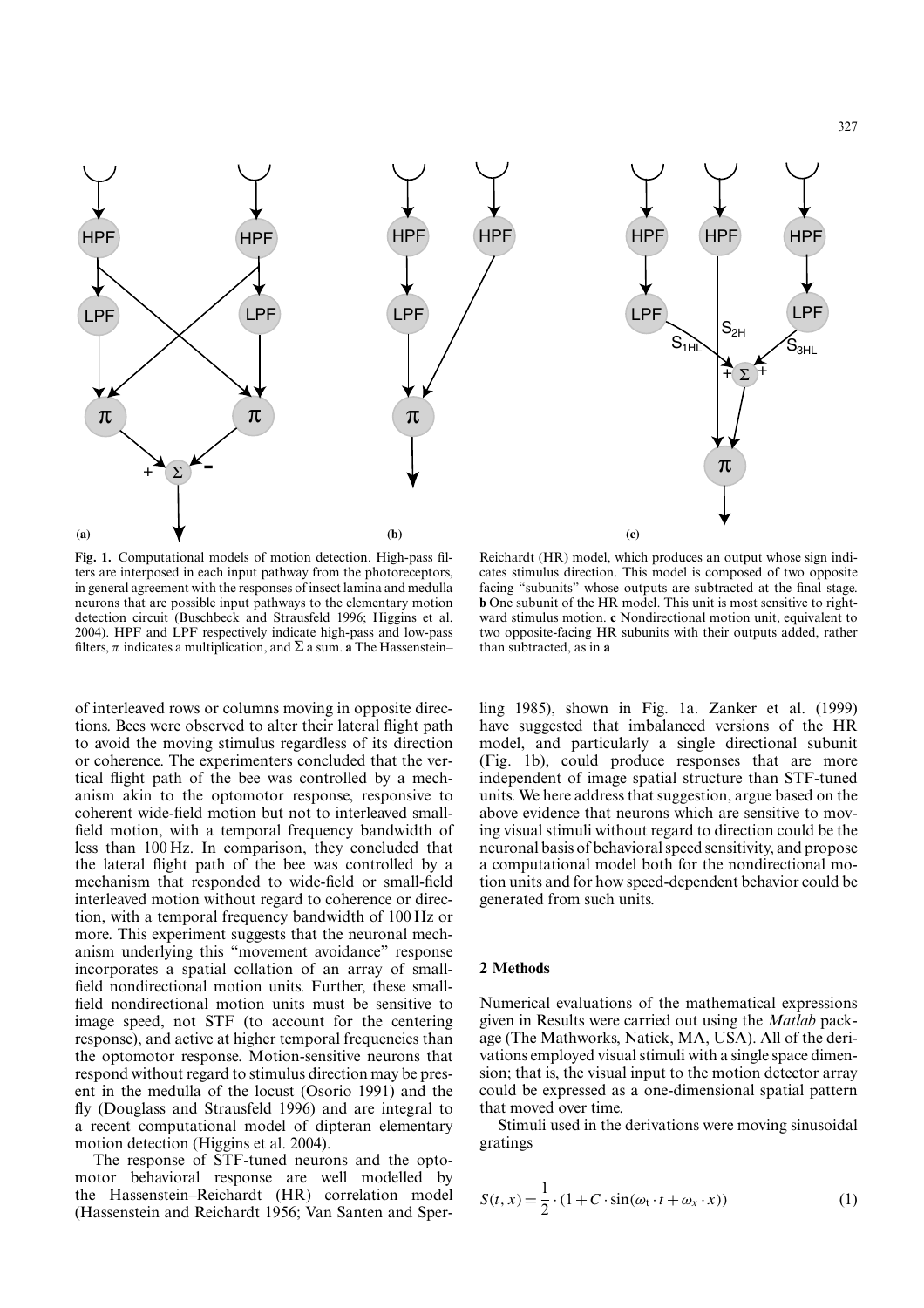

**Fig. 1.** Computational models of motion detection. High-pass filters are interposed in each input pathway from the photoreceptors, in general agreement with the responses of insect lamina and medulla neurons that are possible input pathways to the elementary motion detection circuit (Buschbeck and Strausfeld 1996; Higgins et al. 2004). HPF and LPF respectively indicate high-pass and low-pass filters,  $\pi$  indicates a multiplication, and  $\Sigma$  a sum. **a** The Hassenstein–

of interleaved rows or columns moving in opposite directions. Bees were observed to alter their lateral flight path to avoid the moving stimulus regardless of its direction or coherence. The experimenters concluded that the vertical flight path of the bee was controlled by a mechanism akin to the optomotor response, responsive to coherent wide-field motion but not to interleaved smallfield motion, with a temporal frequency bandwidth of less than 100 Hz. In comparison, they concluded that the lateral flight path of the bee was controlled by a mechanism that responded to wide-field or small-field interleaved motion without regard to coherence or direction, with a temporal frequency bandwidth of 100 Hz or more. This experiment suggests that the neuronal mechanism underlying this "movement avoidance" response incorporates a spatial collation of an array of smallfield nondirectional motion units. Further, these smallfield nondirectional motion units must be sensitive to image speed, not STF (to account for the centering response), and active at higher temporal frequencies than the optomotor response. Motion-sensitive neurons that respond without regard to stimulus direction may be present in the medulla of the locust (Osorio 1991) and the fly (Douglass and Strausfeld 1996) and are integral to a recent computational model of dipteran elementary motion detection (Higgins et al. 2004).

The response of STF-tuned neurons and the optomotor behavioral response are well modelled by the Hassenstein–Reichardt (HR) correlation model (Hassenstein and Reichardt 1956; Van Santen and Sper-

Reichardt (HR) model, which produces an output whose sign indicates stimulus direction. This model is composed of two opposite facing "subunits" whose outputs are subtracted at the final stage. **b** One subunit of the HR model. This unit is most sensitive to rightward stimulus motion. **c** Nondirectional motion unit, equivalent to two opposite-facing HR subunits with their outputs added, rather than subtracted, as in **a**

ling 1985), shown in Fig. 1a. Zanker et al. (1999) have suggested that imbalanced versions of the HR model, and particularly a single directional subunit (Fig. 1b), could produce responses that are more independent of image spatial structure than STF-tuned units. We here address that suggestion, argue based on the above evidence that neurons which are sensitive to moving visual stimuli without regard to direction could be the neuronal basis of behavioral speed sensitivity, and propose a computational model both for the nondirectional motion units and for how speed-dependent behavior could be generated from such units.

#### **2 Methods**

Numerical evaluations of the mathematical expressions given in Results were carried out using the *Matlab* package (The Mathworks, Natick, MA, USA). All of the derivations employed visual stimuli with a single space dimension; that is, the visual input to the motion detector array could be expressed as a one-dimensional spatial pattern that moved over time.

Stimuli used in the derivations were moving sinusoidal gratings

$$
S(t, x) = \frac{1}{2} \cdot (1 + C \cdot \sin(\omega_t \cdot t + \omega_x \cdot x))
$$
 (1)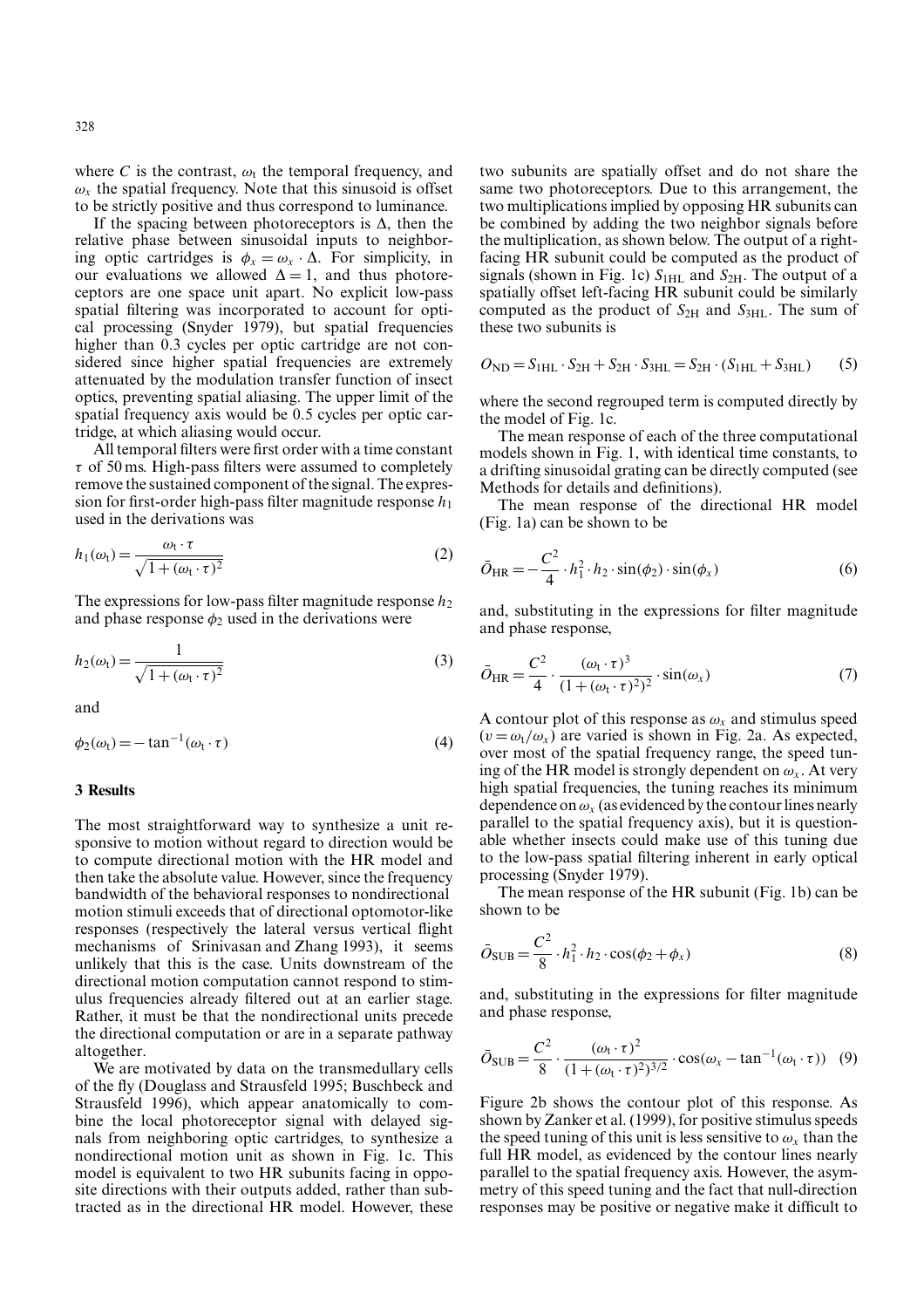where C is the contrast,  $\omega_t$  the temporal frequency, and  $\omega_x$  the spatial frequency. Note that this sinusoid is offset to be strictly positive and thus correspond to luminance.

If the spacing between photoreceptors is  $\Delta$ , then the relative phase between sinusoidal inputs to neighboring optic cartridges is  $\phi_x = \omega_x \cdot \Delta$ . For simplicity, in our evaluations we allowed  $\Delta = 1$ , and thus photoreceptors are one space unit apart. No explicit low-pass spatial filtering was incorporated to account for optical processing (Snyder 1979), but spatial frequencies higher than 0.3 cycles per optic cartridge are not considered since higher spatial frequencies are extremely attenuated by the modulation transfer function of insect optics, preventing spatial aliasing. The upper limit of the spatial frequency axis would be 0.5 cycles per optic cartridge, at which aliasing would occur.

All temporal filters were first order with a time constant  $\tau$  of 50 ms. High-pass filters were assumed to completely remove the sustained component of the signal. The expression for first-order high-pass filter magnitude response  $h_1$ used in the derivations was

$$
h_1(\omega_t) = \frac{\omega_t \cdot \tau}{\sqrt{1 + (\omega_t \cdot \tau)^2}}
$$
 (2)

The expressions for low-pass filter magnitude response  $h_2$ and phase response  $\phi_2$  used in the derivations were

$$
h_2(\omega_t) = \frac{1}{\sqrt{1 + (\omega_t \cdot \tau)^2}}
$$
\n(3)

and

$$
\phi_2(\omega_t) = -\tan^{-1}(\omega_t \cdot \tau) \tag{4}
$$

#### **3 Results**

The most straightforward way to synthesize a unit responsive to motion without regard to direction would be to compute directional motion with the HR model and then take the absolute value. However, since the frequency bandwidth of the behavioral responses to nondirectional motion stimuli exceeds that of directional optomotor-like responses (respectively the lateral versus vertical flight mechanisms of Srinivasan and Zhang 1993), it seems unlikely that this is the case. Units downstream of the directional motion computation cannot respond to stimulus frequencies already filtered out at an earlier stage. Rather, it must be that the nondirectional units precede the directional computation or are in a separate pathway altogether.

We are motivated by data on the transmedullary cells of the fly (Douglass and Strausfeld 1995; Buschbeck and Strausfeld 1996), which appear anatomically to combine the local photoreceptor signal with delayed signals from neighboring optic cartridges, to synthesize a nondirectional motion unit as shown in Fig. 1c. This model is equivalent to two HR subunits facing in opposite directions with their outputs added, rather than subtracted as in the directional HR model. However, these

two subunits are spatially offset and do not share the same two photoreceptors. Due to this arrangement, the two multiplications implied by opposing HR subunits can be combined by adding the two neighbor signals before the multiplication, as shown below. The output of a rightfacing HR subunit could be computed as the product of signals (shown in Fig. 1c)  $S<sub>1H1</sub>$  and  $S<sub>2H</sub>$ . The output of a spatially offset left-facing HR subunit could be similarly computed as the product of  $S_{2H}$  and  $S_{3HL}$ . The sum of these two subunits is

$$
O_{ND} = S_{1HL} \cdot S_{2H} + S_{2H} \cdot S_{3HL} = S_{2H} \cdot (S_{1HL} + S_{3HL})
$$
 (5)

where the second regrouped term is computed directly by the model of Fig. 1c.

The mean response of each of the three computational models shown in Fig. 1, with identical time constants, to a drifting sinusoidal grating can be directly computed (see Methods for details and definitions).

The mean response of the directional HR model (Fig. 1a) can be shown to be

$$
\bar{O}_{HR} = -\frac{C^2}{4} \cdot h_1^2 \cdot h_2 \cdot \sin(\phi_2) \cdot \sin(\phi_x) \tag{6}
$$

and, substituting in the expressions for filter magnitude and phase response,

$$
\bar{O}_{HR} = \frac{C^2}{4} \cdot \frac{(\omega_t \cdot \tau)^3}{(1 + (\omega_t \cdot \tau)^2)^2} \cdot \sin(\omega_x)
$$
 (7)

A contour plot of this response as  $\omega_x$  and stimulus speed  $(v = \omega_t/\omega_x)$  are varied is shown in Fig. 2a. As expected, over most of the spatial frequency range, the speed tuning of the HR model is strongly dependent on  $\omega_x$ . At very high spatial frequencies, the tuning reaches its minimum dependence on  $\omega_x$  (as evidenced by the contour lines nearly parallel to the spatial frequency axis), but it is questionable whether insects could make use of this tuning due to the low-pass spatial filtering inherent in early optical processing (Snyder 1979).

The mean response of the HR subunit (Fig. 1b) can be shown to be

$$
\bar{O}_{\text{SUB}} = \frac{C^2}{8} \cdot h_1^2 \cdot h_2 \cdot \cos(\phi_2 + \phi_x)
$$
 (8)

and, substituting in the expressions for filter magnitude and phase response,

$$
\bar{O}_{\text{SUB}} = \frac{C^2}{8} \cdot \frac{(\omega_{\text{t}} \cdot \tau)^2}{(1 + (\omega_{\text{t}} \cdot \tau)^2)^{3/2}} \cdot \cos(\omega_x - \tan^{-1}(\omega_{\text{t}} \cdot \tau)) \tag{9}
$$

Figure 2b shows the contour plot of this response. As shown by Zanker et al. (1999), for positive stimulus speeds the speed tuning of this unit is less sensitive to  $\omega_{r}$  than the full HR model, as evidenced by the contour lines nearly parallel to the spatial frequency axis. However, the asymmetry of this speed tuning and the fact that null-direction responses may be positive or negative make it difficult to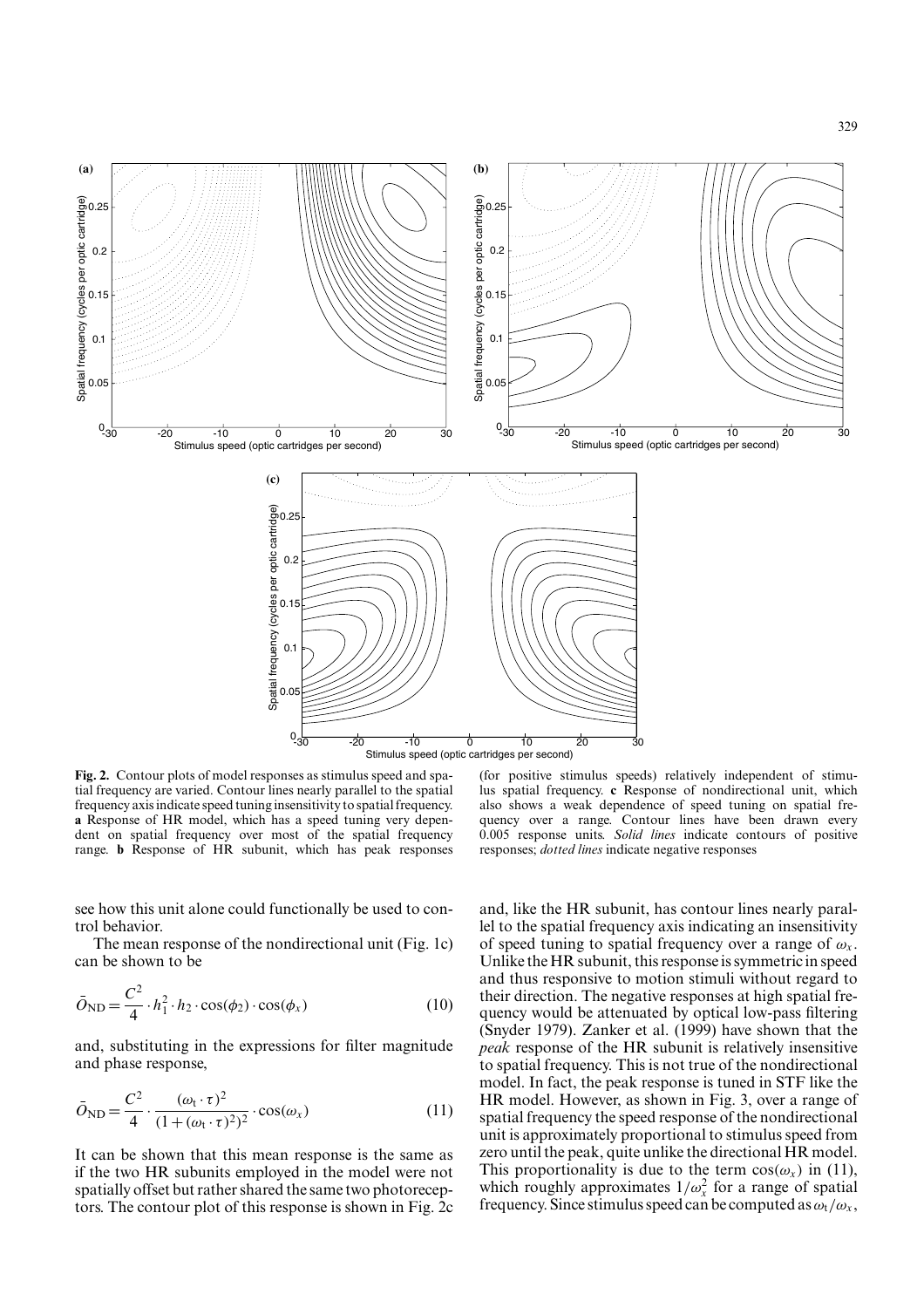

**Fig. 2.** Contour plots of model responses as stimulus speed and spatial frequency are varied. Contour lines nearly parallel to the spatial frequency axis indicate speed tuning insensitivity to spatial frequency. **a** Response of HR model, which has a speed tuning very dependent on spatial frequency over most of the spatial frequency range. **b** Response of HR subunit, which has peak responses

(for positive stimulus speeds) relatively independent of stimulus spatial frequency. **c** Response of nondirectional unit, which also shows a weak dependence of speed tuning on spatial frequency over a range. Contour lines have been drawn every 0.005 response units. *Solid lines* indicate contours of positive responses; *dotted lines* indicate negative responses

329

see how this unit alone could functionally be used to control behavior.

The mean response of the nondirectional unit (Fig. 1c) can be shown to be

$$
\bar{O}_{ND} = \frac{C^2}{4} \cdot h_1^2 \cdot h_2 \cdot \cos(\phi_2) \cdot \cos(\phi_x)
$$
 (10)

and, substituting in the expressions for filter magnitude and phase response,

$$
\bar{O}_{\rm ND} = \frac{C^2}{4} \cdot \frac{(\omega_{\rm t} \cdot \tau)^2}{(1 + (\omega_{\rm t} \cdot \tau)^2)^2} \cdot \cos(\omega_x)
$$
(11)

It can be shown that this mean response is the same as if the two HR subunits employed in the model were not spatially offset but rather shared the same two photoreceptors. The contour plot of this response is shown in Fig. 2c and, like the HR subunit, has contour lines nearly parallel to the spatial frequency axis indicating an insensitivity of speed tuning to spatial frequency over a range of  $\omega_x$ . Unlike the HR subunit, this response is symmetric in speed and thus responsive to motion stimuli without regard to their direction. The negative responses at high spatial frequency would be attenuated by optical low-pass filtering (Snyder 1979). Zanker et al. (1999) have shown that the *peak* response of the HR subunit is relatively insensitive to spatial frequency. This is not true of the nondirectional model. In fact, the peak response is tuned in STF like the HR model. However, as shown in Fig. 3, over a range of spatial frequency the speed response of the nondirectional unit is approximately proportional to stimulus speed from zero until the peak, quite unlike the directional HR model. This proportionality is due to the term  $cos(\omega_x)$  in (11), which roughly approximates  $1/\omega_x^2$  for a range of spatial frequency. Since stimulus speed can be computed as  $\omega_t/\omega_x$ ,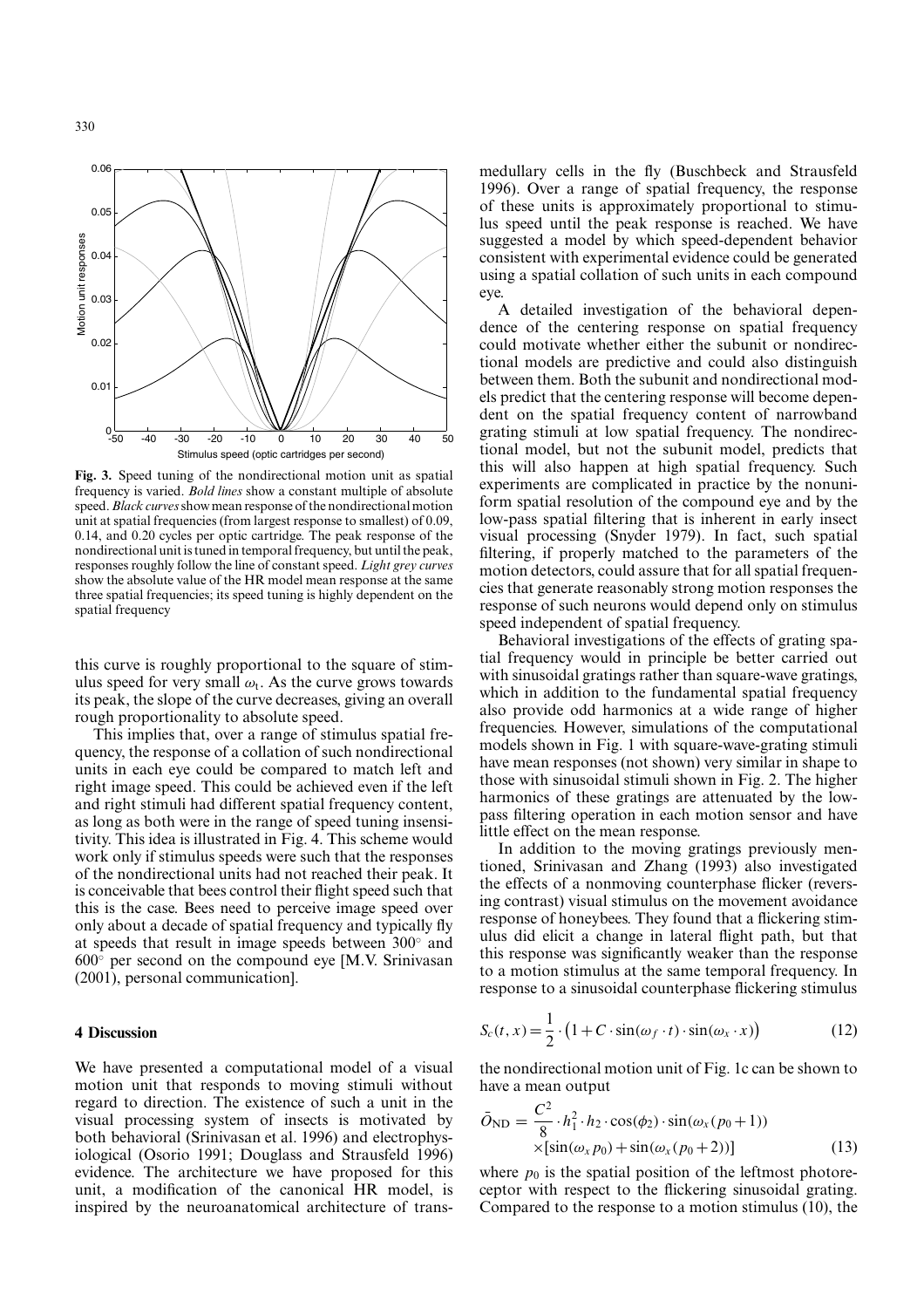

**Fig. 3.** Speed tuning of the nondirectional motion unit as spatial frequency is varied. *Bold lines* show a constant multiple of absolute speed.*Black curves*show mean response of the nondirectional motion unit at spatial frequencies (from largest response to smallest) of 0.09, 0.14, and 0.20 cycles per optic cartridge. The peak response of the nondirectional unit is tuned in temporal frequency, but until the peak, responses roughly follow the line of constant speed. *Light grey curves* show the absolute value of the HR model mean response at the same three spatial frequencies; its speed tuning is highly dependent on the spatial frequency

this curve is roughly proportional to the square of stimulus speed for very small  $\omega_t$ . As the curve grows towards its peak, the slope of the curve decreases, giving an overall rough proportionality to absolute speed.

This implies that, over a range of stimulus spatial frequency, the response of a collation of such nondirectional units in each eye could be compared to match left and right image speed. This could be achieved even if the left and right stimuli had different spatial frequency content, as long as both were in the range of speed tuning insensitivity. This idea is illustrated in Fig. 4. This scheme would work only if stimulus speeds were such that the responses of the nondirectional units had not reached their peak. It is conceivable that bees control their flight speed such that this is the case. Bees need to perceive image speed over only about a decade of spatial frequency and typically fly at speeds that result in image speeds between 300◦ and  $600°$  per second on the compound eye [M.V. Srinivasan (2001), personal communication].

### **4 Discussion**

We have presented a computational model of a visual motion unit that responds to moving stimuli without regard to direction. The existence of such a unit in the visual processing system of insects is motivated by both behavioral (Srinivasan et al. 1996) and electrophysiological (Osorio 1991; Douglass and Strausfeld 1996) evidence. The architecture we have proposed for this unit, a modification of the canonical HR model, is inspired by the neuroanatomical architecture of transmedullary cells in the fly (Buschbeck and Strausfeld 1996). Over a range of spatial frequency, the response of these units is approximately proportional to stimulus speed until the peak response is reached. We have suggested a model by which speed-dependent behavior consistent with experimental evidence could be generated using a spatial collation of such units in each compound eye.

A detailed investigation of the behavioral dependence of the centering response on spatial frequency could motivate whether either the subunit or nondirectional models are predictive and could also distinguish between them. Both the subunit and nondirectional models predict that the centering response will become dependent on the spatial frequency content of narrowband grating stimuli at low spatial frequency. The nondirectional model, but not the subunit model, predicts that this will also happen at high spatial frequency. Such experiments are complicated in practice by the nonuniform spatial resolution of the compound eye and by the low-pass spatial filtering that is inherent in early insect visual processing (Snyder 1979). In fact, such spatial filtering, if properly matched to the parameters of the motion detectors, could assure that for all spatial frequencies that generate reasonably strong motion responses the response of such neurons would depend only on stimulus speed independent of spatial frequency.

Behavioral investigations of the effects of grating spatial frequency would in principle be better carried out with sinusoidal gratings rather than square-wave gratings, which in addition to the fundamental spatial frequency also provide odd harmonics at a wide range of higher frequencies. However, simulations of the computational models shown in Fig. 1 with square-wave-grating stimuli have mean responses (not shown) very similar in shape to those with sinusoidal stimuli shown in Fig. 2. The higher harmonics of these gratings are attenuated by the lowpass filtering operation in each motion sensor and have little effect on the mean response.

In addition to the moving gratings previously mentioned, Srinivasan and Zhang (1993) also investigated the effects of a nonmoving counterphase flicker (reversing contrast) visual stimulus on the movement avoidance response of honeybees. They found that a flickering stimulus did elicit a change in lateral flight path, but that this response was significantly weaker than the response to a motion stimulus at the same temporal frequency. In response to a sinusoidal counterphase flickering stimulus

$$
S_c(t, x) = \frac{1}{2} \cdot (1 + C \cdot \sin(\omega_f \cdot t) \cdot \sin(\omega_x \cdot x))
$$
 (12)

the nondirectional motion unit of Fig. 1c can be shown to have a mean output

$$
\bar{O}_{ND} = \frac{C^2}{8} \cdot h_1^2 \cdot h_2 \cdot \cos(\phi_2) \cdot \sin(\omega_x (p_0 + 1))
$$
  
×[sin( $\omega_x p_0$ ) + sin( $\omega_x (p_0 + 2)$ )] (13)

where  $p_0$  is the spatial position of the leftmost photoreceptor with respect to the flickering sinusoidal grating. Compared to the response to a motion stimulus (10), the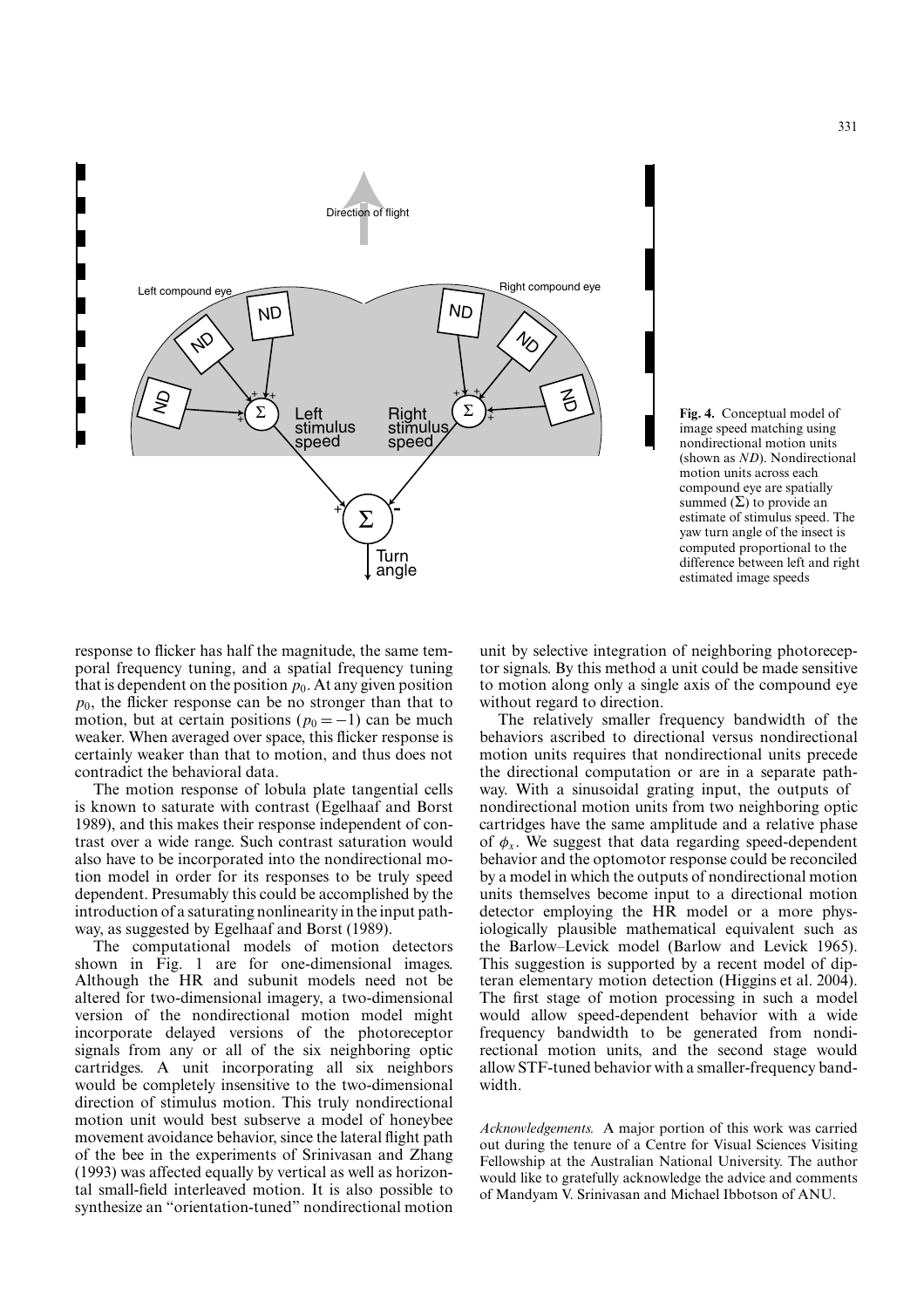

**Fig. 4.** Conceptual model of image speed matching using nondirectional motion units (shown as *ND*). Nondirectional motion units across each compound eye are spatially summed  $(\Sigma)$  to provide an estimate of stimulus speed. The yaw turn angle of the insect is computed proportional to the difference between left and right estimated image speeds

response to flicker has half the magnitude, the same temporal frequency tuning, and a spatial frequency tuning that is dependent on the position  $p_0$ . At any given position  $p_0$ , the flicker response can be no stronger than that to motion, but at certain positions ( $p_0 = -1$ ) can be much weaker. When averaged over space, this flicker response is certainly weaker than that to motion, and thus does not contradict the behavioral data.

The motion response of lobula plate tangential cells is known to saturate with contrast (Egelhaaf and Borst 1989), and this makes their response independent of contrast over a wide range. Such contrast saturation would also have to be incorporated into the nondirectional motion model in order for its responses to be truly speed dependent. Presumably this could be accomplished by the introduction of a saturating nonlinearity in the input pathway, as suggested by Egelhaaf and Borst (1989).

The computational models of motion detectors shown in Fig. 1 are for one-dimensional images. Although the HR and subunit models need not be altered for two-dimensional imagery, a two-dimensional version of the nondirectional motion model might incorporate delayed versions of the photoreceptor signals from any or all of the six neighboring optic cartridges. A unit incorporating all six neighbors would be completely insensitive to the two-dimensional direction of stimulus motion. This truly nondirectional motion unit would best subserve a model of honeybee movement avoidance behavior, since the lateral flight path of the bee in the experiments of Srinivasan and Zhang (1993) was affected equally by vertical as well as horizontal small-field interleaved motion. It is also possible to synthesize an "orientation-tuned" nondirectional motion

unit by selective integration of neighboring photoreceptor signals. By this method a unit could be made sensitive to motion along only a single axis of the compound eye without regard to direction.

The relatively smaller frequency bandwidth of the behaviors ascribed to directional versus nondirectional motion units requires that nondirectional units precede the directional computation or are in a separate pathway. With a sinusoidal grating input, the outputs of nondirectional motion units from two neighboring optic cartridges have the same amplitude and a relative phase of  $\phi_x$ . We suggest that data regarding speed-dependent behavior and the optomotor response could be reconciled by a model in which the outputs of nondirectional motion units themselves become input to a directional motion detector employing the HR model or a more physiologically plausible mathematical equivalent such as the Barlow–Levick model (Barlow and Levick 1965). This suggestion is supported by a recent model of dipteran elementary motion detection (Higgins et al. 2004). The first stage of motion processing in such a model would allow speed-dependent behavior with a wide frequency bandwidth to be generated from nondirectional motion units, and the second stage would allow STF-tuned behavior with a smaller-frequency bandwidth.

*Acknowledgements.* A major portion of this work was carried out during the tenure of a Centre for Visual Sciences Visiting Fellowship at the Australian National University. The author would like to gratefully acknowledge the advice and comments of Mandyam V. Srinivasan and Michael Ibbotson of ANU.